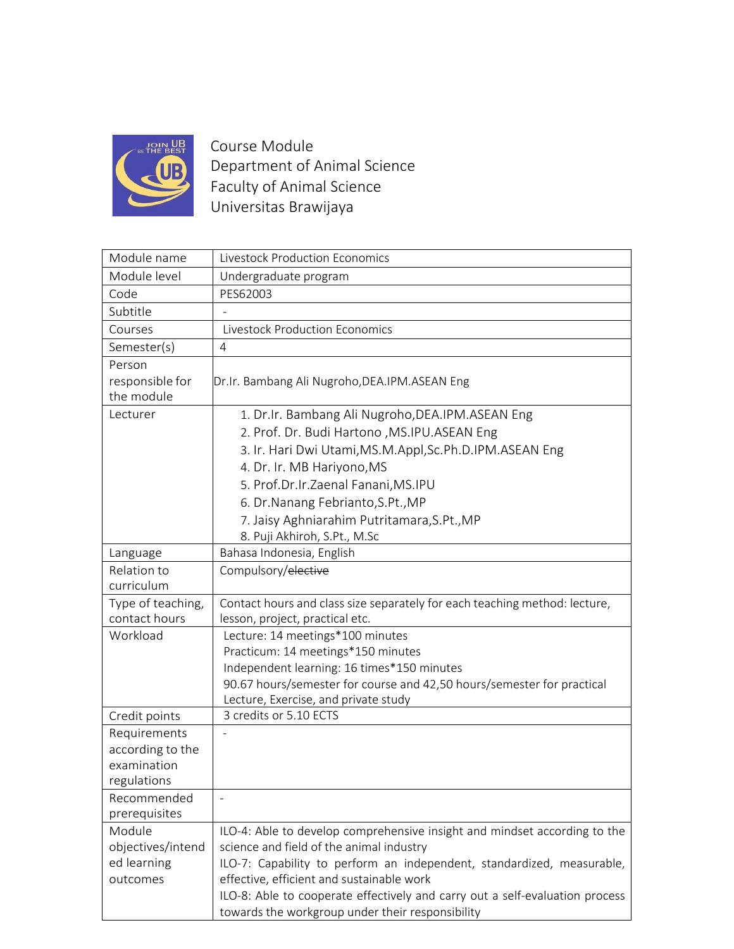

Course Module Department of Animal Science Faculty of Animal Science Universitas Brawijaya

| Module name                     | <b>Livestock Production Economics</b>                                        |
|---------------------------------|------------------------------------------------------------------------------|
| Module level                    | Undergraduate program                                                        |
| Code                            | PES62003                                                                     |
| Subtitle                        |                                                                              |
| Courses                         | <b>Livestock Production Economics</b>                                        |
| Semester(s)                     | 4                                                                            |
| Person                          |                                                                              |
| responsible for                 | Dr.Ir. Bambang Ali Nugroho, DEA.IPM. ASEAN Eng                               |
| the module                      |                                                                              |
| Lecturer                        | 1. Dr.Ir. Bambang Ali Nugroho, DEA.IPM. ASEAN Eng                            |
|                                 | 2. Prof. Dr. Budi Hartono , MS.IPU.ASEAN Eng                                 |
|                                 | 3. Ir. Hari Dwi Utami, MS.M.Appl, Sc.Ph.D.IPM.ASEAN Eng                      |
|                                 | 4. Dr. Ir. MB Hariyono, MS                                                   |
|                                 | 5. Prof.Dr.Ir.Zaenal Fanani, MS.IPU                                          |
|                                 | 6. Dr. Nanang Febrianto, S.Pt., MP                                           |
|                                 | 7. Jaisy Aghniarahim Putritamara, S.Pt., MP                                  |
|                                 | 8. Puji Akhiroh, S.Pt., M.Sc                                                 |
| Language                        | Bahasa Indonesia, English                                                    |
| Relation to                     | Compulsory/elective                                                          |
| curriculum                      |                                                                              |
| Type of teaching,               | Contact hours and class size separately for each teaching method: lecture,   |
| contact hours                   | lesson, project, practical etc.                                              |
| Workload                        | Lecture: 14 meetings*100 minutes                                             |
|                                 | Practicum: 14 meetings*150 minutes                                           |
|                                 | Independent learning: 16 times*150 minutes                                   |
|                                 | 90.67 hours/semester for course and 42,50 hours/semester for practical       |
|                                 | Lecture, Exercise, and private study                                         |
| Credit points                   | 3 credits or 5.10 ECTS                                                       |
| Requirements                    |                                                                              |
| according to the<br>examination |                                                                              |
| regulations                     |                                                                              |
| Recommended                     |                                                                              |
| prerequisites                   |                                                                              |
| Module                          | ILO-4: Able to develop comprehensive insight and mindset according to the    |
| objectives/intend               | science and field of the animal industry                                     |
| ed learning                     | ILO-7: Capability to perform an independent, standardized, measurable,       |
| outcomes                        | effective, efficient and sustainable work                                    |
|                                 | ILO-8: Able to cooperate effectively and carry out a self-evaluation process |
|                                 | towards the workgroup under their responsibility                             |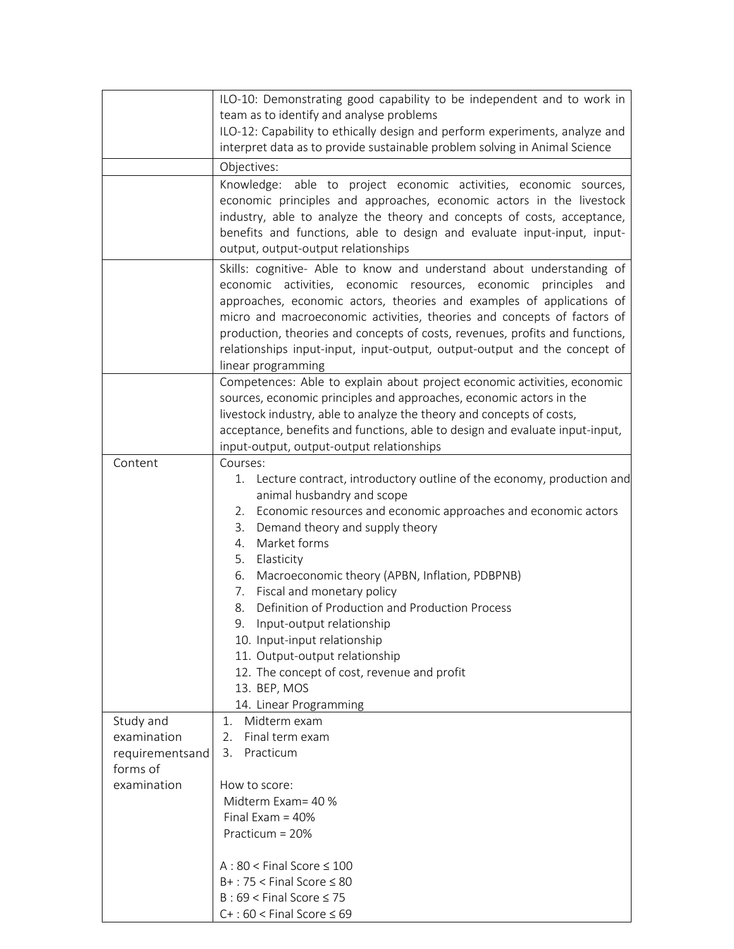|                 | ILO-10: Demonstrating good capability to be independent and to work in                         |
|-----------------|------------------------------------------------------------------------------------------------|
|                 | team as to identify and analyse problems                                                       |
|                 | ILO-12: Capability to ethically design and perform experiments, analyze and                    |
|                 | interpret data as to provide sustainable problem solving in Animal Science                     |
|                 | Objectives:                                                                                    |
|                 | Knowledge: able to project economic activities, economic sources,                              |
|                 | economic principles and approaches, economic actors in the livestock                           |
|                 | industry, able to analyze the theory and concepts of costs, acceptance,                        |
|                 | benefits and functions, able to design and evaluate input-input, input-                        |
|                 | output, output-output relationships                                                            |
|                 | Skills: cognitive- Able to know and understand about understanding of                          |
|                 | economic activities, economic resources, economic principles<br>and                            |
|                 | approaches, economic actors, theories and examples of applications of                          |
|                 | micro and macroeconomic activities, theories and concepts of factors of                        |
|                 | production, theories and concepts of costs, revenues, profits and functions,                   |
|                 | relationships input-input, input-output, output-output and the concept of                      |
|                 | linear programming<br>Competences: Able to explain about project economic activities, economic |
|                 | sources, economic principles and approaches, economic actors in the                            |
|                 | livestock industry, able to analyze the theory and concepts of costs,                          |
|                 | acceptance, benefits and functions, able to design and evaluate input-input,                   |
|                 | input-output, output-output relationships                                                      |
| Content         | Courses:                                                                                       |
|                 | 1. Lecture contract, introductory outline of the economy, production and                       |
|                 | animal husbandry and scope                                                                     |
|                 | 2. Economic resources and economic approaches and economic actors                              |
|                 | Demand theory and supply theory<br>3.                                                          |
|                 | Market forms<br>4.                                                                             |
|                 | 5.<br>Elasticity                                                                               |
|                 | Macroeconomic theory (APBN, Inflation, PDBPNB)<br>6.                                           |
|                 | 7. Fiscal and monetary policy<br>Definition of Production and Production Process<br>8.         |
|                 | 9. Input-output relationship                                                                   |
|                 | 10. Input-input relationship                                                                   |
|                 | 11. Output-output relationship                                                                 |
|                 | 12. The concept of cost, revenue and profit                                                    |
|                 | 13. BEP, MOS                                                                                   |
|                 | 14. Linear Programming                                                                         |
| Study and       | Midterm exam<br>1.                                                                             |
| examination     | Final term exam<br>2.                                                                          |
| requirementsand | Practicum<br>3.                                                                                |
| forms of        |                                                                                                |
| examination     | How to score:                                                                                  |
|                 | Midterm Exam= 40 %                                                                             |
|                 | Final Exam = $40\%$                                                                            |
|                 | Practicum = 20%                                                                                |
|                 | $A:80 <$ Final Score $\leq 100$                                                                |
|                 | $B+$ : 75 < Final Score $\leq 80$                                                              |
|                 | $B:69 <$ Final Score $\leq 75$                                                                 |
|                 | $C+$ : 60 < Final Score $\leq 69$                                                              |